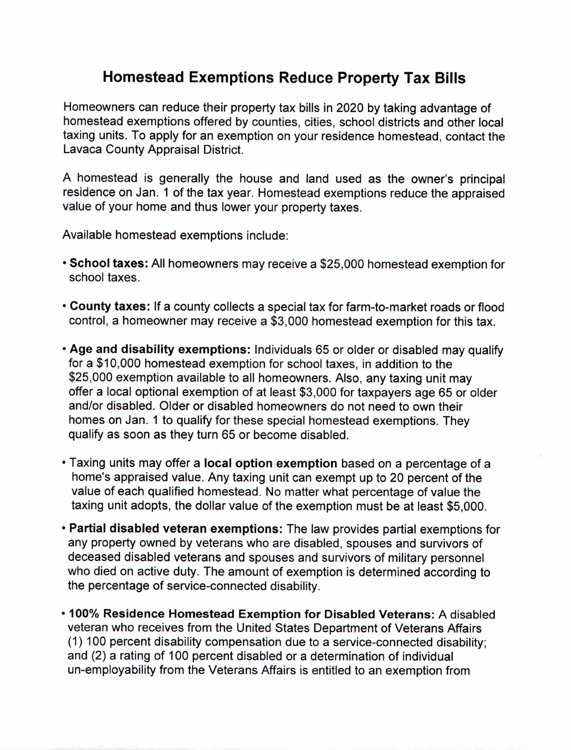## **Homestead Exemptions Reduce Property Tax Bills**

Homeowners can reduce their property tax bills in 2020 by taking advantage of homestead exemptions offered by counties, cities, school districts and other local taxing units. To apply for an exemption on your residence homestead, contact the Lavaca County Appraisal District.

A homestead is generally the house and land used as the owner's principal residence on Jan. 1 of the tax year. Homestead exemptions reduce the appraised value of your home and thus lower your property taxes.

Available homestead exemptions include:

- School taxes: All homeowners may receive a \$25,000 homestead exemption for school taxes.
- County taxes: If a county collects a special tax for farm-to-market roads or flood control, a homeowner may receive a \$3,000 homestead exemption for this tax.
- Age and disability exemptions: Individuals 65 or older or disabled may qualify for a \$10,000 homestead exemption for school taxes, in addition to the \$25,000 exemption available to all homeowners. Also, any taxing unit may offer a local optional exemption of at least \$3,000 for taxpayers age 65 or older and/or disabled. Older or disabled homeowners do not need to own their homes on Jan. 1 to qualify for these special homestead exemptions. They qualify as soon as they turn 65 or become disabled.
- Taxing units may offer a local option exemption based on a percentage of a home's appraised value. Any taxing unit can exempt up to 20 percent of the value of each qualified homestead. No matter what percentage of value the taxing unit adopts, the dollar value of the exemption must be at least \$5,000.
- Partial disabled veteran exemptions: The law provides partial exemptions for any property owned by veterans who are disabled, spouses and survivors of deceased disabled veterans and spouses and survivors of military personnel who died on active duty. The amount of exemption is determined according to the percentage of service-connected disability.
- 100% Residence Homestead Exemption for Disabled Veterans: A disabled veteran who receives from the United States Department of Veterans Affairs (1) 100 percent disability compensation due to a service-connected disability; and (2) a rating of 100 percent disabled or a determination of individual un-employability from the Veterans Affairs is entitled to an exemption from